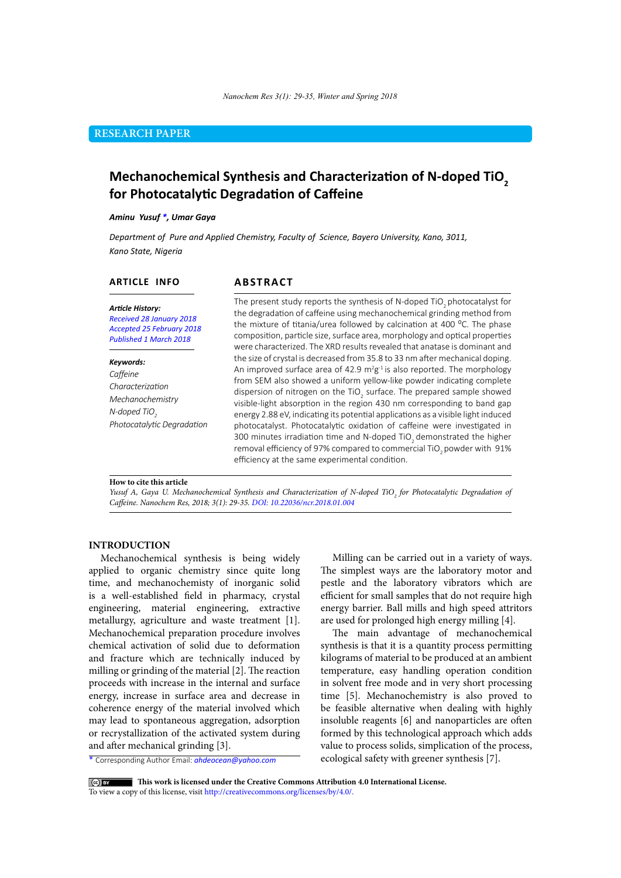### **RESEARCH PAPER**

# **Mechanochemical Synthesis and Characterization of N-doped TiO<sup>2</sup> for Photocatalytic Degradation of Caffeine**

*Aminu Yusuf \*, Umar Gaya*

*Department of Pure and Applied Chemistry, Faculty of Science, Bayero University, Kano, 3011, Kano State, Nigeria*

### **ARTICLE INFO**

## **ABSTRACT**

*Article History: Received 28 January 2018 Accepted 25 February 2018 Published 1 March 2018*

#### *Keywords:*

*Caffeine Characterization Mechanochemistry N-doped TiO<sup>2</sup> Photocatalytic Degradation* The present study reports the synthesis of N-doped TiO<sub>2</sub> photocatalyst for the degradation of caffeine using mechanochemical grinding method from the mixture of titania/urea followed by calcination at 400 °C. The phase composition, particle size, surface area, morphology and optical properties were characterized. The XRD results revealed that anatase is dominant and the size of crystal is decreased from 35.8 to 33 nm after mechanical doping. An improved surface area of 42.9  $m^2g^{-1}$  is also reported. The morphology from SEM also showed a uniform yellow-like powder indicating complete dispersion of nitrogen on the TiO<sub>2</sub> surface. The prepared sample showed visible-light absorption in the region 430 nm corresponding to band gap energy 2.88 eV, indicating its potential applications as a visible light induced photocatalyst. Photocatalytic oxidation of caffeine were investigated in 300 minutes irradiation time and N-doped TiO<sub>2</sub> demonstrated the higher removal efficiency of 97% compared to commercial TiO<sub>2</sub> powder with 91% efficiency at the same experimental condition.

#### **How to cite this article**

*Yusuf A, Gaya U. Mechanochemical Synthesis and Characterization of N-doped TiO<sub>2</sub> for Photocatalytic Degradation of Caffeine. Nanochem Res, 2018; 3(1): 29-35. DOI: 10.22036/ncr.2018.01.004*

### **INTRODUCTION**

Mechanochemical synthesis is being widely applied to organic chemistry since quite long time, and mechanochemisty of inorganic solid is a well-established field in pharmacy, crystal engineering, material engineering, extractive metallurgy, agriculture and waste treatment [1]. Mechanochemical preparation procedure involves chemical activation of solid due to deformation and fracture which are technically induced by milling or grinding of the material [2]. The reaction proceeds with increase in the internal and surface energy, increase in surface area and decrease in coherence energy of the material involved which may lead to spontaneous aggregation, adsorption or recrystallization of the activated system during and after mechanical grinding [3].

\* Corresponding Author Email: *ahdeocean@yahoo.com*

Milling can be carried out in a variety of ways. The simplest ways are the laboratory motor and pestle and the laboratory vibrators which are efficient for small samples that do not require high energy barrier. Ball mills and high speed attritors are used for prolonged high energy milling [4].

The main advantage of mechanochemical synthesis is that it is a quantity process permitting kilograms of material to be produced at an ambient temperature, easy handling operation condition in solvent free mode and in very short processing time [5]. Mechanochemistry is also proved to be feasible alternative when dealing with highly insoluble reagents [6] and nanoparticles are often formed by this technological approach which adds value to process solids, simplication of the process, ecological safety with greener synthesis [7].

 **This work is licensed under the Creative Commons Attribution 4.0 International License.** To view a copy of this license, visit [http://creativecommons.org/licenses/by/4.0/.](http://creativecommons.org/licenses/by/4.0/)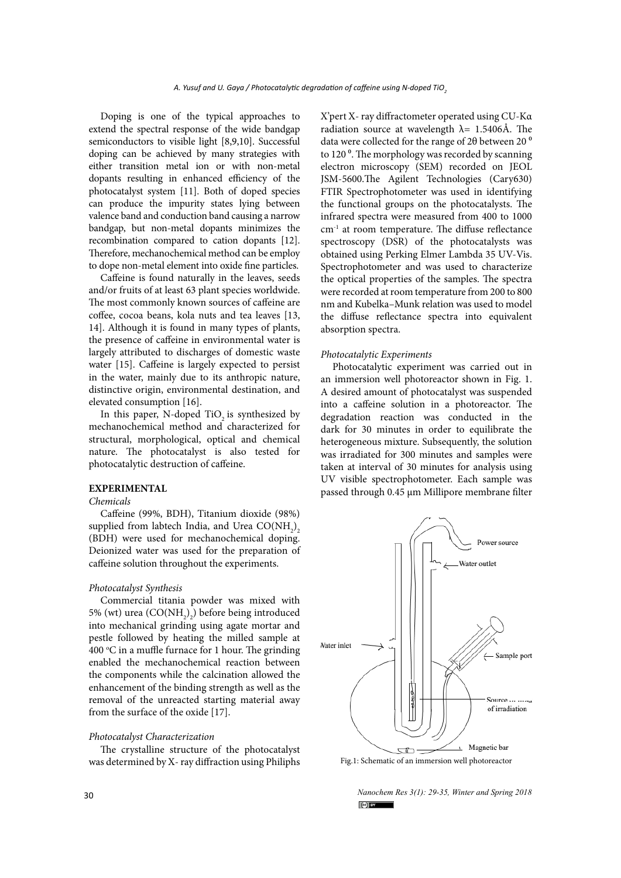Doping is one of the typical approaches to extend the spectral response of the wide bandgap semiconductors to visible light [8,9,10]. Successful doping can be achieved by many strategies with either transition metal ion or with non-metal dopants resulting in enhanced efficiency of the photocatalyst system [11]. Both of doped species can produce the impurity states lying between valence band and conduction band causing a narrow bandgap, but non-metal dopants minimizes the recombination compared to cation dopants [12]. Therefore, mechanochemical method can be employ to dope non-metal element into oxide fine particles.

Caffeine is found naturally in the leaves, seeds and/or fruits of at least 63 plant species worldwide. The most commonly known sources of caffeine are coffee, cocoa beans, kola nuts and tea leaves [13, 14]. Although it is found in many types of plants, the presence of caffeine in environmental water is largely attributed to discharges of domestic waste water [15]. Caffeine is largely expected to persist in the water, mainly due to its anthropic nature, distinctive origin, environmental destination, and elevated consumption [16].

In this paper, N-doped TiO<sub>2</sub> is synthesized by mechanochemical method and characterized for structural, morphological, optical and chemical nature. The photocatalyst is also tested for photocatalytic destruction of caffeine.

### **EXPERIMENTAL**

#### *Chemicals*

Caffeine (99%, BDH), Titanium dioxide (98%) supplied from labtech India, and Urea  $\mathrm{CO(NH}_2\text{)}_2$ (BDH) were used for mechanochemical doping. Deionized water was used for the preparation of caffeine solution throughout the experiments.

### *Photocatalyst Synthesis*

Commercial titania powder was mixed with 5% (wt) urea  $(CO(NH_2)_2)$  before being introduced into mechanical grinding using agate mortar and pestle followed by heating the milled sample at 400 °C in a muffle furnace for 1 hour. The grinding enabled the mechanochemical reaction between the components while the calcination allowed the enhancement of the binding strength as well as the removal of the unreacted starting material away from the surface of the oxide [17].

#### *Photocatalyst Characterization*

The crystalline structure of the photocatalyst was determined by X- ray diffraction using Philiphs

X'pert X- ray diffractometer operated using CU-Kα radiation source at wavelength  $\lambda$ = 1.5406Å. The data were collected for the range of  $2\theta$  between  $20^{\circ}$ to 120<sup>°</sup>. The morphology was recorded by scanning electron microscopy (SEM) recorded on JEOL JSM-5600.The Agilent Technologies (Cary630) FTIR Spectrophotometer was used in identifying the functional groups on the photocatalysts. The infrared spectra were measured from 400 to 1000 cm-1 at room temperature. The diffuse reflectance spectroscopy (DSR) of the photocatalysts was obtained using Perking Elmer Lambda 35 UV-Vis. Spectrophotometer and was used to characterize the optical properties of the samples. The spectra were recorded at room temperature from 200 to 800 nm and Kubelka–Munk relation was used to model the diffuse reflectance spectra into equivalent absorption spectra.

#### *Photocatalytic Experiments*

Photocatalytic experiment was carried out in an immersion well photoreactor shown in Fig. 1. A desired amount of photocatalyst was suspended into a caffeine solution in a photoreactor. The degradation reaction was conducted in the dark for 30 minutes in order to equilibrate the heterogeneous mixture. Subsequently, the solution was irradiated for 300 minutes and samples were taken at interval of 30 minutes for analysis using UV visible spectrophotometer. Each sample was passed through 0.45 µm Millipore membrane filter



*Nanochem Res 3(1): 29-35, Winter and Spring 2018*  $\left(\infty\right)$  BY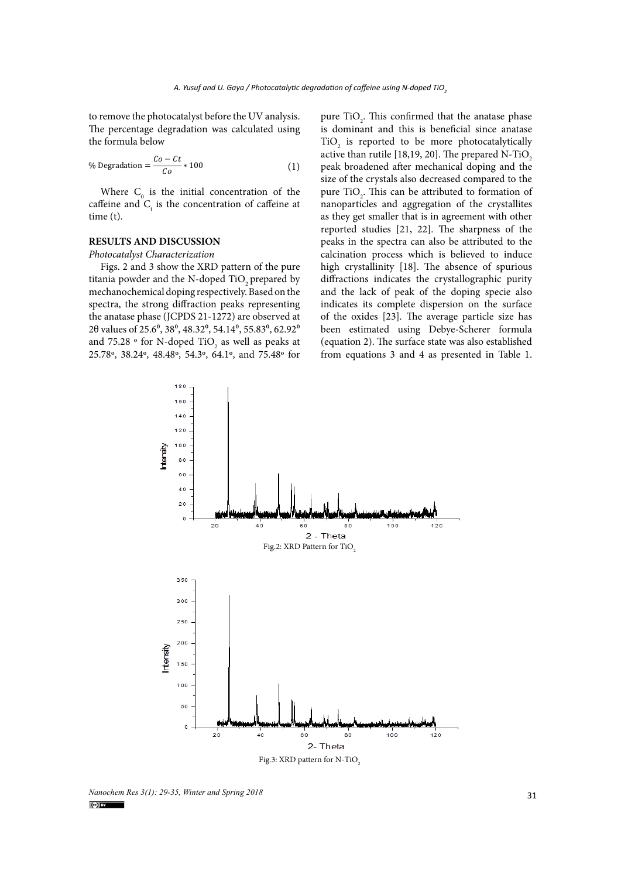to remove the photocatalyst before the UV analysis. The percentage degradation was calculated using the formula below

% Degradation = 
$$
\frac{Co - Ct}{Co} * 100
$$
 (1)

Where  $C_0$  is the initial concentration of the caffeine and  $C_t$  is the concentration of caffeine at time (t).

### **RESULTS AND DISCUSSION**

*Photocatalyst Characterization*

Figs. 2 and 3 show the XRD pattern of the pure titania powder and the N-doped TiO<sub>2</sub> prepared by mechanochemical doping respectively. Based on the spectra, the strong diffraction peaks representing the anatase phase (JCPDS 21-1272) are observed at 2 $\theta$  values of 25.6 $^{\circ}$ , 38 $^{\circ}$ , 48.32 $^{\circ}$ , 54.14 $^{\circ}$ , 55.83 $^{\circ}$ , 62.92 $^{\circ}$ and 75.28  $\circ$  for N-doped TiO<sub>2</sub> as well as peaks at 25.78º, 38.24º, 48.48º, 54.3º, 64.1º, and 75.48º for

pure  $TiO<sub>2</sub>$ . This confirmed that the anatase phase is dominant and this is beneficial since anatase  $TiO<sub>2</sub>$  is reported to be more photocatalytically active than rutile [18,19, 20]. The prepared N-TiO<sub>2</sub> peak broadened after mechanical doping and the size of the crystals also decreased compared to the pure  $TiO<sub>2</sub>$ . This can be attributed to formation of nanoparticles and aggregation of the crystallites as they get smaller that is in agreement with other reported studies [21, 22]. The sharpness of the peaks in the spectra can also be attributed to the calcination process which is believed to induce high crystallinity [18]. The absence of spurious diffractions indicates the crystallographic purity and the lack of peak of the doping specie also indicates its complete dispersion on the surface of the oxides [23]. The average particle size has been estimated using Debye-Scherer formula (equation 2). The surface state was also established from equations 3 and 4 as presented in Table 1.



*Nanochem Res 3(1): 29-35, Winter and Spring 2018* 31<br> **31**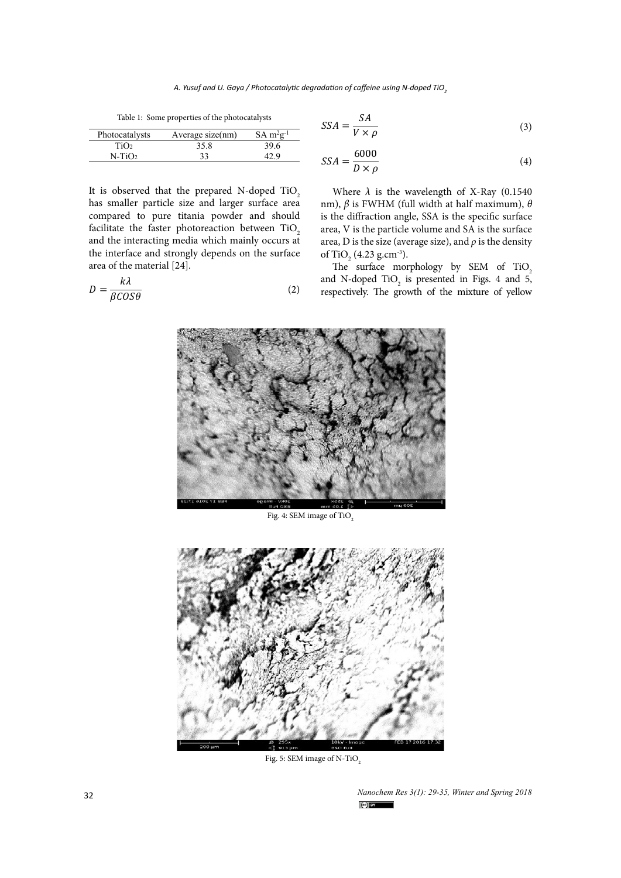$SA m<sup>2</sup>g$ 

Table 1: Some properties of the photocatalysts

 $710<sub>2</sub>$   $35.8$   $39.6$ <br> $33$   $42.9$ 

Photocatalysts Average size(nm)

 $N-TiO<sub>2</sub>$ 

$$
SSA = \frac{SA}{V \times \rho} \tag{3}
$$

$$
SSA = \frac{6000}{D \times \rho} \tag{4}
$$

It is observed that the prepared N-doped TiO2 has smaller particle size and larger surface area compared to pure titania powder and should facilitate the faster photoreaction between  $TiO<sub>2</sub>$ and the interacting media which mainly occurs at the interface and strongly depends on the surface area of the material [24].

$$
D = \frac{k\lambda}{\beta COS\theta} \tag{2}
$$

Where  $\lambda$  is the wavelength of X-Ray (0.1540) nm), *β* is FWHM (full width at half maximum), *θ*  is the diffraction angle, SSA is the specific surface area, V is the particle volume and SA is the surface area, D is the size (average size), and *ρ* is the density of TiO<sub>2</sub> (4.23 g.cm<sup>-3</sup>).

The surface morphology by SEM of TiO<sub>2</sub> and N-doped  $TiO<sub>2</sub>$  is presented in Figs. 4 and 5, respectively. The growth of the mixture of yellow



Fig. 4: SEM image of TiO<sub>2</sub>



Fig. 5: SEM image of N-TiO<sub>2</sub>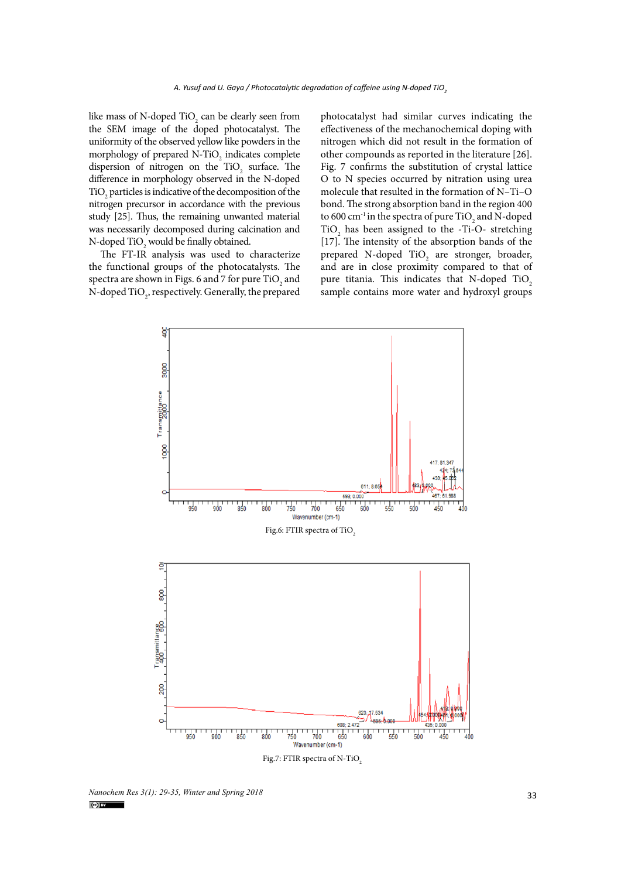like mass of N-doped TiO<sub>2</sub> can be clearly seen from the SEM image of the doped photocatalyst. The uniformity of the observed yellow like powders in the morphology of prepared  $N$ -TiO<sub>2</sub> indicates complete dispersion of nitrogen on the  $TiO_2$  surface. The difference in morphology observed in the N-doped  $\rm TiO_2$  particles is indicative of the decomposition of the nitrogen precursor in accordance with the previous study [25]. Thus, the remaining unwanted material was necessarily decomposed during calcination and N-doped  $\text{TiO}_2$  would be finally obtained.

The FT-IR analysis was used to characterize the functional groups of the photocatalysts. The spectra are shown in Figs. 6 and 7 for pure  $\rm TiO_2$  and N-doped  $\mathrm{TiO}_2$ , respectively. Generally, the prepared photocatalyst had similar curves indicating the effectiveness of the mechanochemical doping with nitrogen which did not result in the formation of other compounds as reported in the literature [26]. Fig. 7 confirms the substitution of crystal lattice O to N species occurred by nitration using urea molecule that resulted in the formation of N–Ti–O bond. The strong absorption band in the region 400 to 600 cm $^{\textrm{\text{--}}\textrm{}}$  in the spectra of pure TiO  $_2$  and N-doped  $TiO<sub>2</sub>$  has been assigned to the -Ti-O- stretching [17]. The intensity of the absorption bands of the prepared N-doped  $TiO<sub>2</sub>$  are stronger, broader, and are in close proximity compared to that of pure titania. This indicates that N-doped TiO<sub>2</sub> sample contains more water and hydroxyl groups



*Nanochem Res 3(1): 29-35, Winter and Spring 2018*<br> **33** *C***<sub>***O***<sup>I</sup><sup>***I***</sup>**</sub>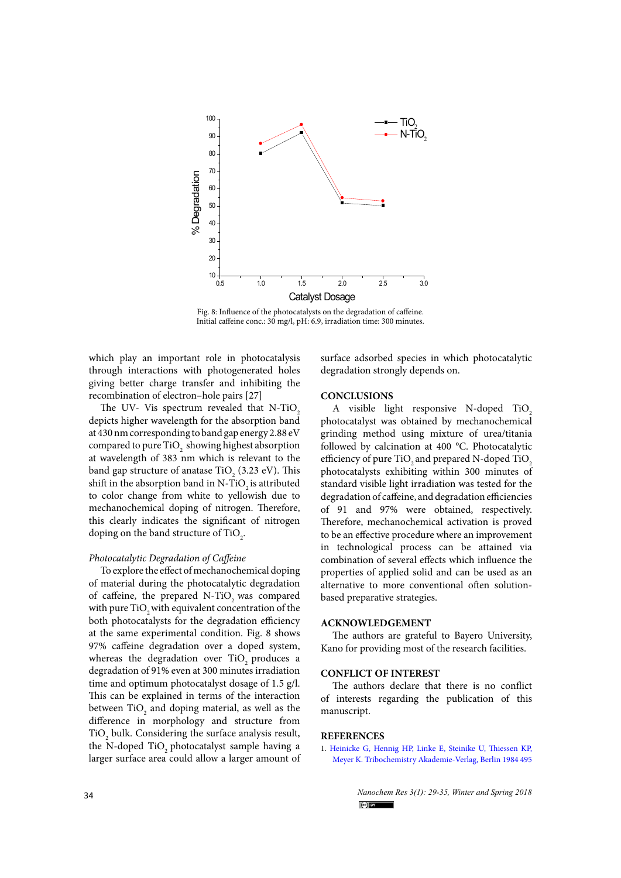

Fig. 8: Influence of the photocatalysts on the degradation of caffeine. Initial caffeine conc.: 30 mg/l, pH: 6.9, irradiation time: 300 minutes.

which play an important role in photocatalysis through interactions with photogenerated holes giving better charge transfer and inhibiting the recombination of electron–hole pairs [27]

The UV- Vis spectrum revealed that N-TiO<sub>2</sub> depicts higher wavelength for the absorption band at 430 nm corresponding to band gap energy 2.88 eV compared to pure  $\text{TiO}_2^{}$  showing highest absorption at wavelength of 383 nm which is relevant to the band gap structure of anatase TiO<sub>2</sub> (3.23 eV). This shift in the absorption band in N-TiO<sub>2</sub> is attributed to color change from white to yellowish due to mechanochemical doping of nitrogen. Therefore, this clearly indicates the significant of nitrogen doping on the band structure of  $\text{TiO}_2$ .

#### *Photocatalytic Degradation of Caffeine*

To explore the effect of mechanochemical doping of material during the photocatalytic degradation of caffeine, the prepared N-TiO<sub>2</sub> was compared with pure TiO<sub>2</sub> with equivalent concentration of the both photocatalysts for the degradation efficiency at the same experimental condition. Fig. 8 shows 97% caffeine degradation over a doped system, whereas the degradation over TiO<sub>2</sub> produces a degradation of 91% even at 300 minutes irradiation time and optimum photocatalyst dosage of 1.5 g/l. This can be explained in terms of the interaction between  $\rm TiO_2$  and doping material, as well as the difference in morphology and structure from  $\rm TiO_2$  bulk. Considering the surface analysis result, the N-doped TiO<sub>2</sub> photocatalyst sample having a larger surface area could allow a larger amount of surface adsorbed species in which photocatalytic degradation strongly depends on.

### **CONCLUSIONS**

A visible light responsive N-doped TiO<sub>2</sub> photocatalyst was obtained by mechanochemical grinding method using mixture of urea/titania followed by calcination at 400 °C. Photocatalytic efficiency of pure TiO<sub>2</sub> and prepared N-doped TiO<sub>2</sub> photocatalysts exhibiting within 300 minutes of standard visible light irradiation was tested for the degradation of caffeine, and degradation efficiencies of 91 and 97% were obtained, respectively. Therefore, mechanochemical activation is proved to be an effective procedure where an improvement in technological process can be attained via combination of several effects which influence the properties of applied solid and can be used as an alternative to more conventional often solutionbased preparative strategies.

#### **ACKNOWLEDGEMENT**

The authors are grateful to Bayero University, Kano for providing most of the research facilities.

### **CONFLICT OF INTEREST**

The authors declare that there is no conflict of interests regarding the publication of this manuscript.

### **REFERENCES**

1. [Heinicke G, Hennig HP, Linke E, Steinike U, Thiessen KP,](https://onlinelibrary.wiley.com/doi/abs/10.1002/actp.1985.010360721) [Meyer K. Tribochemistry Akademie‐Verlag, Berlin 1984 495](https://onlinelibrary.wiley.com/doi/abs/10.1002/actp.1985.010360721)

34 *Nanochem Res 3(1): 29-35, Winter and Spring 2018*